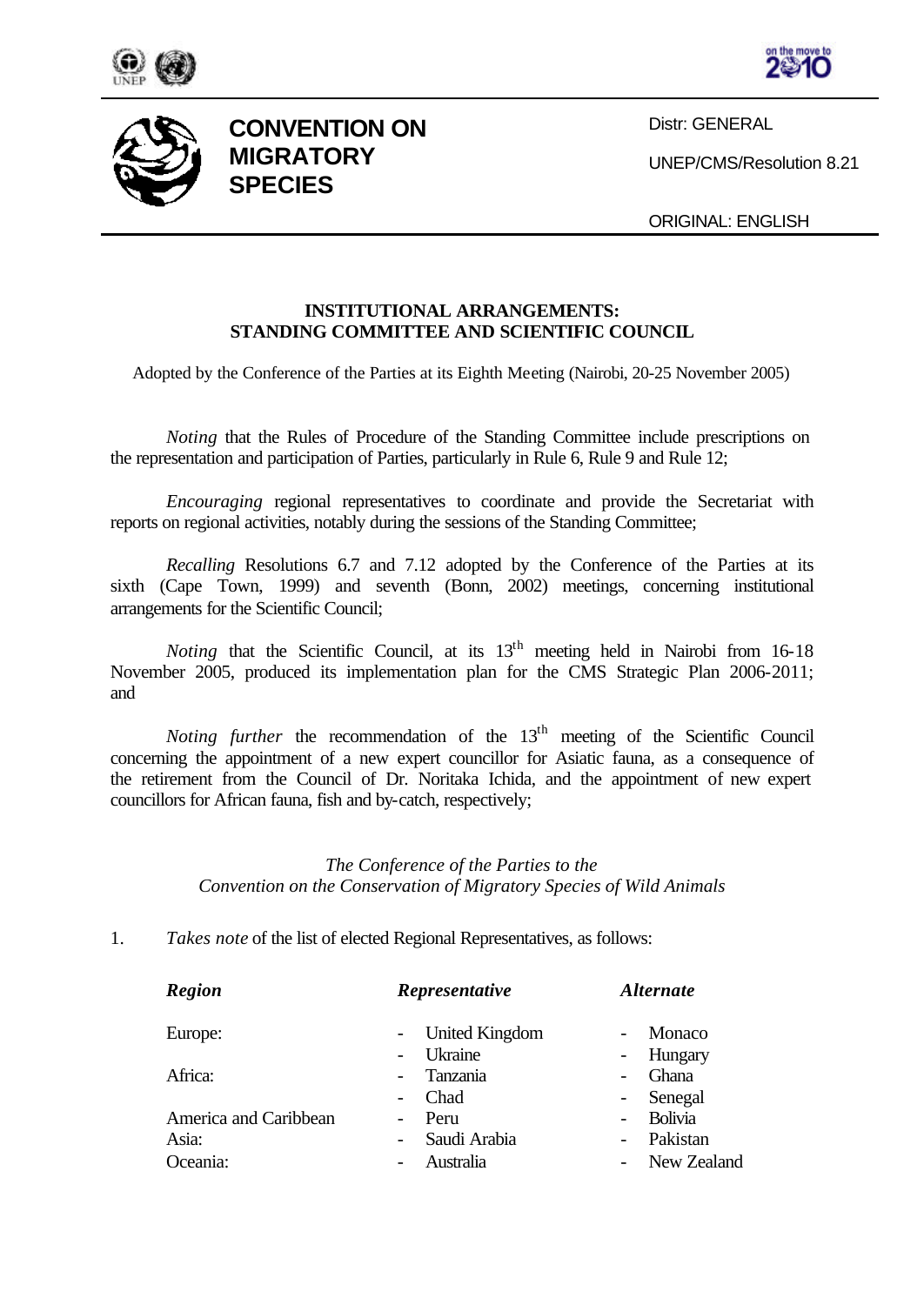





**CONVENTION ON MIGRATORY SPECIES**

Distr: GENERAL

UNEP/CMS/Resolution 8.21

ORIGINAL: ENGLISH

## **INSTITUTIONAL ARRANGEMENTS: STANDING COMMITTEE AND SCIENTIFIC COUNCIL**

Adopted by the Conference of the Parties at its Eighth Meeting (Nairobi, 20-25 November 2005)

*Noting* that the Rules of Procedure of the Standing Committee include prescriptions on the representation and participation of Parties, particularly in Rule 6, Rule 9 and Rule 12;

*Encouraging* regional representatives to coordinate and provide the Secretariat with reports on regional activities, notably during the sessions of the Standing Committee;

*Recalling* Resolutions 6.7 and 7.12 adopted by the Conference of the Parties at its sixth (Cape Town, 1999) and seventh (Bonn, 2002) meetings, concerning institutional arrangements for the Scientific Council;

*Noting* that the Scientific Council, at its 13<sup>th</sup> meeting held in Nairobi from 16-18 November 2005, produced its implementation plan for the CMS Strategic Plan 2006-2011; and

*Noting further* the recommendation of the 13<sup>th</sup> meeting of the Scientific Council concerning the appointment of a new expert councillor for Asiatic fauna, as a consequence of the retirement from the Council of Dr. Noritaka Ichida, and the appointment of new expert councillors for African fauna, fish and by-catch, respectively;

## *The Conference of the Parties to the Convention on the Conservation of Migratory Species of Wild Animals*

1. *Takes note* of the list of elected Regional Representatives, as follows:

| <b>Region</b>         | Representative                           | <i><b>Alternate</b></i>             |
|-----------------------|------------------------------------------|-------------------------------------|
| Europe:               | - United Kingdom                         | Monaco                              |
|                       | Ukraine                                  | Hungary<br>$\sim 100$               |
| Africa:               | Tanzania<br>$\overline{\phantom{0}}$     | Ghana<br>$\overline{\phantom{0}}$   |
|                       | Chad                                     | Senegal<br>$\sim 100$               |
| America and Caribbean | Peru                                     | Bolivia<br>$\overline{\phantom{0}}$ |
| Asia:                 | Saudi Arabia<br>$\overline{\phantom{0}}$ | Pakistan                            |
| Oceania:              | Australia                                | - New Zealand                       |